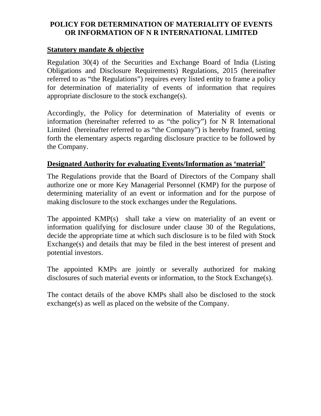## **POLICY FOR DETERMINATION OF MATERIALITY OF EVENTS OR INFORMATION OF N R INTERNATIONAL LIMITED**

#### **Statutory mandate & objective**

Regulation 30(4) of the Securities and Exchange Board of India (Listing Obligations and Disclosure Requirements) Regulations, 2015 (hereinafter referred to as "the Regulations") requires every listed entity to frame a policy for determination of materiality of events of information that requires appropriate disclosure to the stock exchange(s).

Accordingly, the Policy for determination of Materiality of events or information (hereinafter referred to as "the policy") for N R International Limited (hereinafter referred to as "the Company") is hereby framed, setting forth the elementary aspects regarding disclosure practice to be followed by the Company.

### **Designated Authority for evaluating Events/Information as 'material'**

The Regulations provide that the Board of Directors of the Company shall authorize one or more Key Managerial Personnel (KMP) for the purpose of determining materiality of an event or information and for the purpose of making disclosure to the stock exchanges under the Regulations.

The appointed KMP(s) shall take a view on materiality of an event or information qualifying for disclosure under clause 30 of the Regulations, decide the appropriate time at which such disclosure is to be filed with Stock Exchange(s) and details that may be filed in the best interest of present and potential investors.

The appointed KMPs are jointly or severally authorized for making disclosures of such material events or information, to the Stock Exchange(s).

The contact details of the above KMPs shall also be disclosed to the stock exchange(s) as well as placed on the website of the Company.